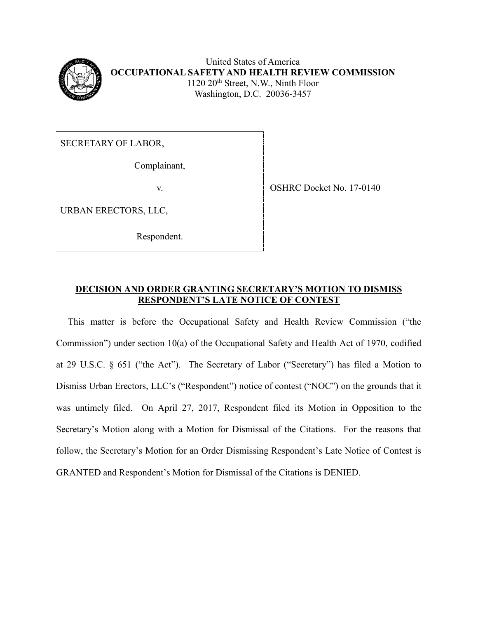

United States of America **OCCUPATIONAL SAFETY AND HEALTH REVIEW COMMISSION** 1120 20<sup>th</sup> Street, N.W., Ninth Floor Washington, D.C. 20036-3457

SECRETARY OF LABOR,

Complainant,

URBAN ERECTORS, LLC,

Respondent.

v. SHRC Docket No. 17-0140

# **DECISION AND ORDER GRANTING SECRETARY'S MOTION TO DISMISS RESPONDENT'S LATE NOTICE OF CONTEST**

This matter is before the Occupational Safety and Health Review Commission ("the Commission") under section 10(a) of the Occupational Safety and Health Act of 1970, codified at 29 U.S.C. § 651 ("the Act"). The Secretary of Labor ("Secretary") has filed a Motion to Dismiss Urban Erectors, LLC's ("Respondent") notice of contest ("NOC") on the grounds that it was untimely filed. On April 27, 2017, Respondent filed its Motion in Opposition to the Secretary's Motion along with a Motion for Dismissal of the Citations. For the reasons that follow, the Secretary's Motion for an Order Dismissing Respondent's Late Notice of Contest is GRANTED and Respondent's Motion for Dismissal of the Citations is DENIED.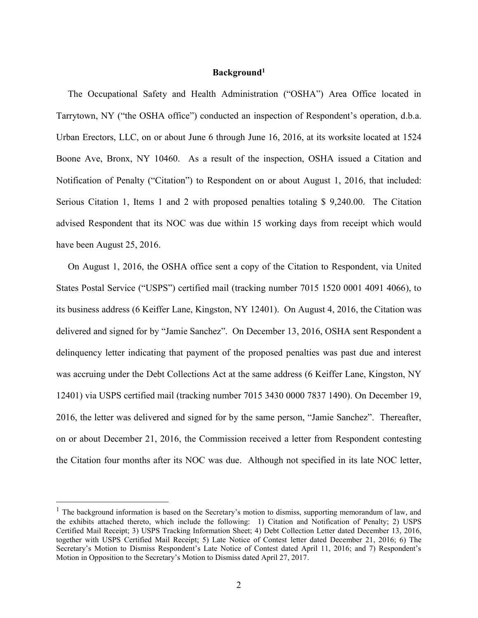#### **Background<sup>1</sup>**

 The Occupational Safety and Health Administration ("OSHA") Area Office located in Tarrytown, NY ("the OSHA office") conducted an inspection of Respondent's operation, d.b.a. Urban Erectors, LLC, on or about June 6 through June 16, 2016, at its worksite located at 1524 Boone Ave, Bronx, NY 10460. As a result of the inspection, OSHA issued a Citation and Notification of Penalty ("Citation") to Respondent on or about August 1, 2016, that included: Serious Citation 1, Items 1 and 2 with proposed penalties totaling \$ 9,240.00. The Citation advised Respondent that its NOC was due within 15 working days from receipt which would have been August 25, 2016.

 On August 1, 2016, the OSHA office sent a copy of the Citation to Respondent, via United States Postal Service ("USPS") certified mail (tracking number 7015 1520 0001 4091 4066), to its business address (6 Keiffer Lane, Kingston, NY 12401). On August 4, 2016, the Citation was delivered and signed for by "Jamie Sanchez". On December 13, 2016, OSHA sent Respondent a delinquency letter indicating that payment of the proposed penalties was past due and interest was accruing under the Debt Collections Act at the same address (6 Keiffer Lane, Kingston, NY 12401) via USPS certified mail (tracking number 7015 3430 0000 7837 1490). On December 19, 2016, the letter was delivered and signed for by the same person, "Jamie Sanchez". Thereafter, on or about December 21, 2016, the Commission received a letter from Respondent contesting the Citation four months after its NOC was due. Although not specified in its late NOC letter,

 $\overline{a}$ 

 $<sup>1</sup>$  The background information is based on the Secretary's motion to dismiss, supporting memorandum of law, and</sup> the exhibits attached thereto, which include the following: 1) Citation and Notification of Penalty; 2) USPS Certified Mail Receipt; 3) USPS Tracking Information Sheet; 4) Debt Collection Letter dated December 13, 2016, together with USPS Certified Mail Receipt; 5) Late Notice of Contest letter dated December 21, 2016; 6) The Secretary's Motion to Dismiss Respondent's Late Notice of Contest dated April 11, 2016; and 7) Respondent's Motion in Opposition to the Secretary's Motion to Dismiss dated April 27, 2017.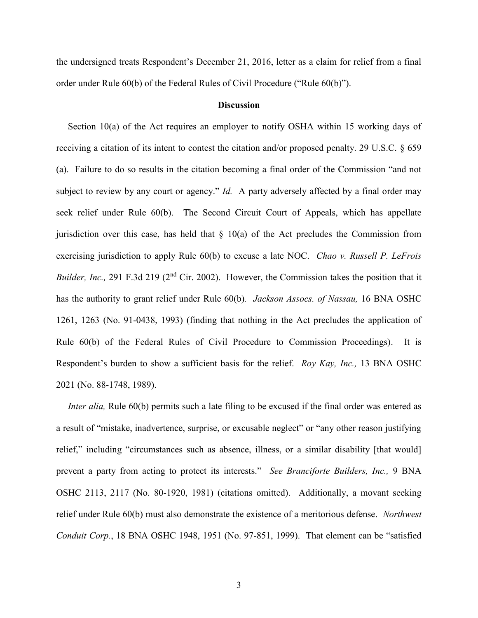the undersigned treats Respondent's December 21, 2016, letter as a claim for relief from a final order under Rule 60(b) of the Federal Rules of Civil Procedure ("Rule 60(b)").

## **Discussion**

 Section 10(a) of the Act requires an employer to notify OSHA within 15 working days of receiving a citation of its intent to contest the citation and/or proposed penalty. 29 U.S.C. § 659 (a). Failure to do so results in the citation becoming a final order of the Commission "and not subject to review by any court or agency." *Id.* A party adversely affected by a final order may seek relief under Rule 60(b). The Second Circuit Court of Appeals, which has appellate jurisdiction over this case, has held that  $\S$  10(a) of the Act precludes the Commission from exercising jurisdiction to apply Rule 60(b) to excuse a late NOC. *Chao v. Russell P. LeFrois Builder, Inc.,* 291 F.3d 219 (2<sup>nd</sup> Cir. 2002). However, the Commission takes the position that it has the authority to grant relief under Rule 60(b)*. Jackson Assocs. of Nassau,* 16 BNA OSHC 1261, 1263 (No. 91-0438, 1993) (finding that nothing in the Act precludes the application of Rule 60(b) of the Federal Rules of Civil Procedure to Commission Proceedings). It is Respondent's burden to show a sufficient basis for the relief. *Roy Kay, Inc.,* 13 BNA OSHC 2021 (No. 88-1748, 1989).

*Inter alia*, Rule 60(b) permits such a late filing to be excused if the final order was entered as a result of "mistake, inadvertence, surprise, or excusable neglect" or "any other reason justifying relief," including "circumstances such as absence, illness, or a similar disability [that would] prevent a party from acting to protect its interests." *See Branciforte Builders, Inc.,* 9 BNA OSHC 2113, 2117 (No. 80-1920, 1981) (citations omitted). Additionally, a movant seeking relief under Rule 60(b) must also demonstrate the existence of a meritorious defense. *Northwest Conduit Corp.*, 18 BNA OSHC 1948, 1951 (No. 97-851, 1999). That element can be "satisfied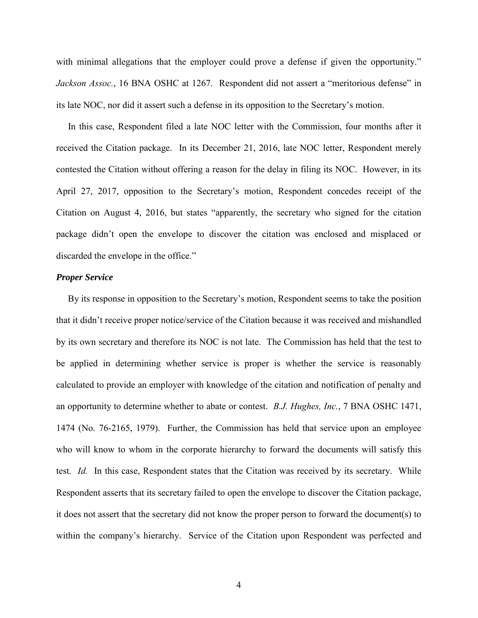with minimal allegations that the employer could prove a defense if given the opportunity." *Jackson Assoc.*, 16 BNA OSHC at 1267. Respondent did not assert a "meritorious defense" in its late NOC, nor did it assert such a defense in its opposition to the Secretary's motion.

 In this case, Respondent filed a late NOC letter with the Commission, four months after it received the Citation package. In its December 21, 2016, late NOC letter, Respondent merely contested the Citation without offering a reason for the delay in filing its NOC. However, in its April 27, 2017, opposition to the Secretary's motion, Respondent concedes receipt of the Citation on August 4, 2016, but states "apparently, the secretary who signed for the citation package didn't open the envelope to discover the citation was enclosed and misplaced or discarded the envelope in the office."

#### *Proper Service*

 By its response in opposition to the Secretary's motion, Respondent seems to take the position that it didn't receive proper notice/service of the Citation because it was received and mishandled by its own secretary and therefore its NOC is not late. The Commission has held that the test to be applied in determining whether service is proper is whether the service is reasonably calculated to provide an employer with knowledge of the citation and notification of penalty and an opportunity to determine whether to abate or contest. *B.J. Hughes, Inc.*, 7 BNA OSHC 1471, 1474 (No. 76-2165, 1979). Further, the Commission has held that service upon an employee who will know to whom in the corporate hierarchy to forward the documents will satisfy this test. *Id.* In this case, Respondent states that the Citation was received by its secretary. While Respondent asserts that its secretary failed to open the envelope to discover the Citation package, it does not assert that the secretary did not know the proper person to forward the document(s) to within the company's hierarchy. Service of the Citation upon Respondent was perfected and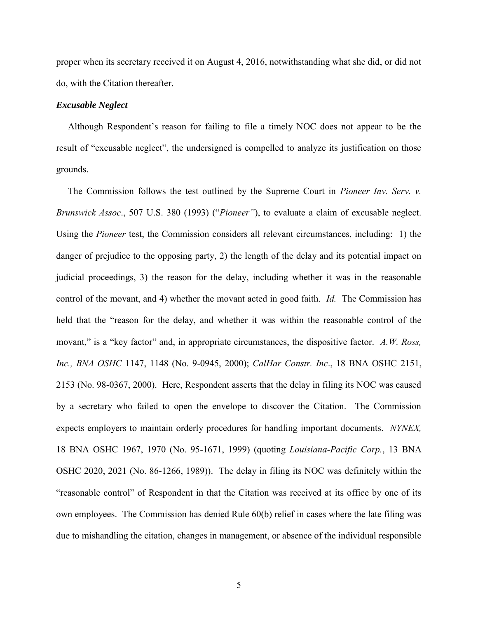proper when its secretary received it on August 4, 2016, notwithstanding what she did, or did not do, with the Citation thereafter.

## *Excusable Neglect*

 Although Respondent's reason for failing to file a timely NOC does not appear to be the result of "excusable neglect", the undersigned is compelled to analyze its justification on those grounds.

 The Commission follows the test outlined by the Supreme Court in *Pioneer Inv. Serv. v. Brunswick Assoc*., 507 U.S. 380 (1993) ("*Pioneer"*), to evaluate a claim of excusable neglect. Using the *Pioneer* test, the Commission considers all relevant circumstances, including: 1) the danger of prejudice to the opposing party, 2) the length of the delay and its potential impact on judicial proceedings, 3) the reason for the delay, including whether it was in the reasonable control of the movant, and 4) whether the movant acted in good faith. *Id.* The Commission has held that the "reason for the delay, and whether it was within the reasonable control of the movant," is a "key factor" and, in appropriate circumstances, the dispositive factor. *A.W. Ross, Inc., BNA OSHC* 1147, 1148 (No. 9-0945, 2000); *CalHar Constr. Inc*., 18 BNA OSHC 2151, 2153 (No. 98-0367, 2000). Here, Respondent asserts that the delay in filing its NOC was caused by a secretary who failed to open the envelope to discover the Citation. The Commission expects employers to maintain orderly procedures for handling important documents. *NYNEX,*  18 BNA OSHC 1967, 1970 (No. 95-1671, 1999) (quoting *Louisiana-Pacific Corp.*, 13 BNA OSHC 2020, 2021 (No. 86-1266, 1989)). The delay in filing its NOC was definitely within the "reasonable control" of Respondent in that the Citation was received at its office by one of its own employees. The Commission has denied Rule 60(b) relief in cases where the late filing was due to mishandling the citation, changes in management, or absence of the individual responsible